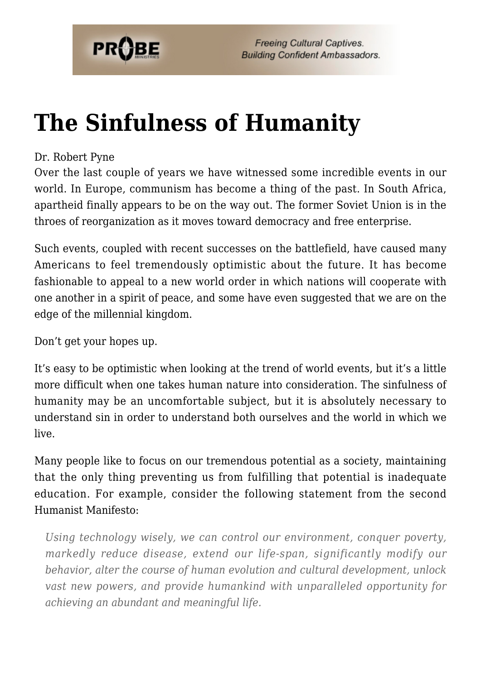

## **[The Sinfulness of Humanity](https://probe.org/the-sinfulness-of-humanity/)**

#### Dr. Robert Pyne

Over the last couple of years we have witnessed some incredible events in our world. In Europe, communism has become a thing of the past. In South Africa, apartheid finally appears to be on the way out. The former Soviet Union is in the throes of reorganization as it moves toward democracy and free enterprise.

Such events, coupled with recent successes on the battlefield, have caused many Americans to feel tremendously optimistic about the future. It has become fashionable to appeal to a new world order in which nations will cooperate with one another in a spirit of peace, and some have even suggested that we are on the edge of the millennial kingdom.

Don't get your hopes up.

It's easy to be optimistic when looking at the trend of world events, but it's a little more difficult when one takes human nature into consideration. The sinfulness of humanity may be an uncomfortable subject, but it is absolutely necessary to understand sin in order to understand both ourselves and the world in which we live.

Many people like to focus on our tremendous potential as a society, maintaining that the only thing preventing us from fulfilling that potential is inadequate education. For example, consider the following statement from the second Humanist Manifesto:

*Using technology wisely, we can control our environment, conquer poverty, markedly reduce disease, extend our life-span, significantly modify our behavior, alter the course of human evolution and cultural development, unlock vast new powers, and provide humankind with unparalleled opportunity for achieving an abundant and meaningful life.*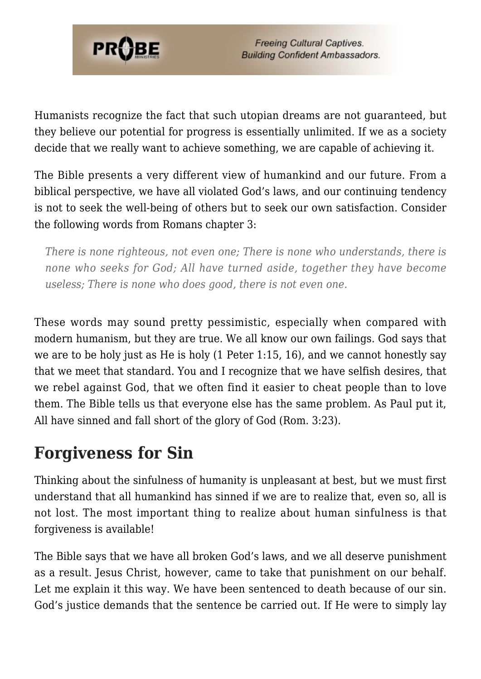

Humanists recognize the fact that such utopian dreams are not guaranteed, but they believe our potential for progress is essentially unlimited. If we as a society decide that we really want to achieve something, we are capable of achieving it.

The Bible presents a very different view of humankind and our future. From a biblical perspective, we have all violated God's laws, and our continuing tendency is not to seek the well-being of others but to seek our own satisfaction. Consider the following words from Romans chapter 3:

*There is none righteous, not even one; There is none who understands, there is none who seeks for God; All have turned aside, together they have become useless; There is none who does good, there is not even one.*

These words may sound pretty pessimistic, especially when compared with modern humanism, but they are true. We all know our own failings. God says that we are to be holy just as He is holy (1 Peter 1:15, 16), and we cannot honestly say that we meet that standard. You and I recognize that we have selfish desires, that we rebel against God, that we often find it easier to cheat people than to love them. The Bible tells us that everyone else has the same problem. As Paul put it, All have sinned and fall short of the glory of God (Rom. 3:23).

### **Forgiveness for Sin**

Thinking about the sinfulness of humanity is unpleasant at best, but we must first understand that all humankind has sinned if we are to realize that, even so, all is not lost. The most important thing to realize about human sinfulness is that forgiveness is available!

The Bible says that we have all broken God's laws, and we all deserve punishment as a result. Jesus Christ, however, came to take that punishment on our behalf. Let me explain it this way. We have been sentenced to death because of our sin. God's justice demands that the sentence be carried out. If He were to simply lay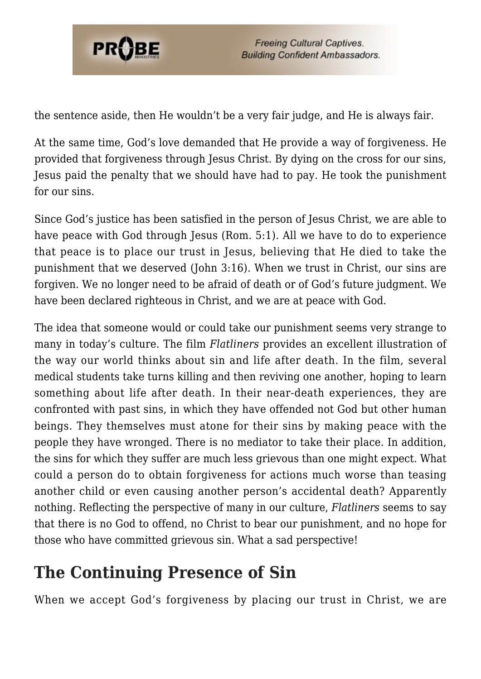

the sentence aside, then He wouldn't be a very fair judge, and He is always fair.

At the same time, God's love demanded that He provide a way of forgiveness. He provided that forgiveness through Jesus Christ. By dying on the cross for our sins, Jesus paid the penalty that we should have had to pay. He took the punishment for our sins.

Since God's justice has been satisfied in the person of Jesus Christ, we are able to have peace with God through Jesus (Rom. 5:1). All we have to do to experience that peace is to place our trust in Jesus, believing that He died to take the punishment that we deserved (John 3:16). When we trust in Christ, our sins are forgiven. We no longer need to be afraid of death or of God's future judgment. We have been declared righteous in Christ, and we are at peace with God.

The idea that someone would or could take our punishment seems very strange to many in today's culture. The film *Flatliners* provides an excellent illustration of the way our world thinks about sin and life after death. In the film, several medical students take turns killing and then reviving one another, hoping to learn something about life after death. In their near-death experiences, they are confronted with past sins, in which they have offended not God but other human beings. They themselves must atone for their sins by making peace with the people they have wronged. There is no mediator to take their place. In addition, the sins for which they suffer are much less grievous than one might expect. What could a person do to obtain forgiveness for actions much worse than teasing another child or even causing another person's accidental death? Apparently nothing. Reflecting the perspective of many in our culture, *Flatliners* seems to say that there is no God to offend, no Christ to bear our punishment, and no hope for those who have committed grievous sin. What a sad perspective!

### **The Continuing Presence of Sin**

When we accept God's forgiveness by placing our trust in Christ, we are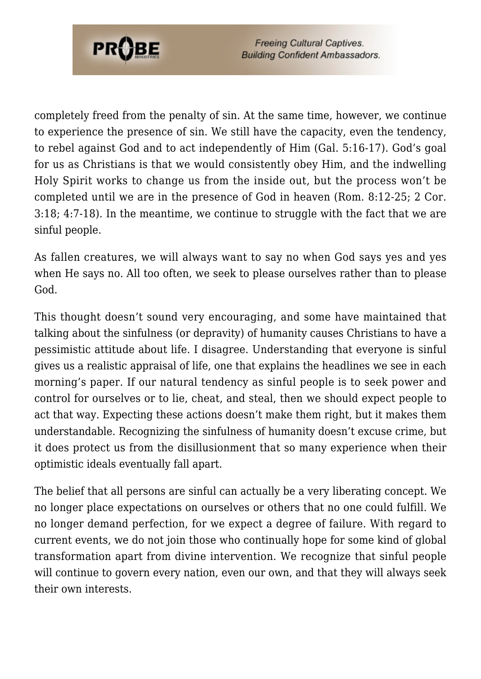

completely freed from the penalty of sin. At the same time, however, we continue to experience the presence of sin. We still have the capacity, even the tendency, to rebel against God and to act independently of Him (Gal. 5:16-17). God's goal for us as Christians is that we would consistently obey Him, and the indwelling Holy Spirit works to change us from the inside out, but the process won't be completed until we are in the presence of God in heaven (Rom. 8:12-25; 2 Cor. 3:18; 4:7-18). In the meantime, we continue to struggle with the fact that we are sinful people.

As fallen creatures, we will always want to say no when God says yes and yes when He says no. All too often, we seek to please ourselves rather than to please God.

This thought doesn't sound very encouraging, and some have maintained that talking about the sinfulness (or depravity) of humanity causes Christians to have a pessimistic attitude about life. I disagree. Understanding that everyone is sinful gives us a realistic appraisal of life, one that explains the headlines we see in each morning's paper. If our natural tendency as sinful people is to seek power and control for ourselves or to lie, cheat, and steal, then we should expect people to act that way. Expecting these actions doesn't make them right, but it makes them understandable. Recognizing the sinfulness of humanity doesn't excuse crime, but it does protect us from the disillusionment that so many experience when their optimistic ideals eventually fall apart.

The belief that all persons are sinful can actually be a very liberating concept. We no longer place expectations on ourselves or others that no one could fulfill. We no longer demand perfection, for we expect a degree of failure. With regard to current events, we do not join those who continually hope for some kind of global transformation apart from divine intervention. We recognize that sinful people will continue to govern every nation, even our own, and that they will always seek their own interests.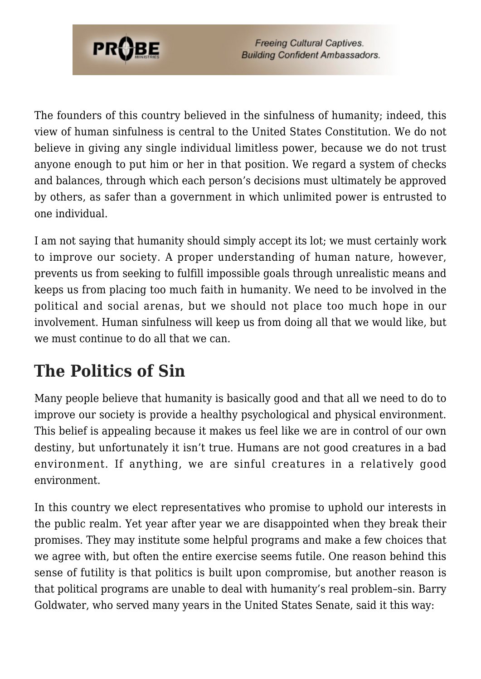

The founders of this country believed in the sinfulness of humanity; indeed, this view of human sinfulness is central to the United States Constitution. We do not believe in giving any single individual limitless power, because we do not trust anyone enough to put him or her in that position. We regard a system of checks and balances, through which each person's decisions must ultimately be approved by others, as safer than a government in which unlimited power is entrusted to one individual.

I am not saying that humanity should simply accept its lot; we must certainly work to improve our society. A proper understanding of human nature, however, prevents us from seeking to fulfill impossible goals through unrealistic means and keeps us from placing too much faith in humanity. We need to be involved in the political and social arenas, but we should not place too much hope in our involvement. Human sinfulness will keep us from doing all that we would like, but we must continue to do all that we can.

### **The Politics of Sin**

Many people believe that humanity is basically good and that all we need to do to improve our society is provide a healthy psychological and physical environment. This belief is appealing because it makes us feel like we are in control of our own destiny, but unfortunately it isn't true. Humans are not good creatures in a bad environment. If anything, we are sinful creatures in a relatively good environment.

In this country we elect representatives who promise to uphold our interests in the public realm. Yet year after year we are disappointed when they break their promises. They may institute some helpful programs and make a few choices that we agree with, but often the entire exercise seems futile. One reason behind this sense of futility is that politics is built upon compromise, but another reason is that political programs are unable to deal with humanity's real problem–sin. Barry Goldwater, who served many years in the United States Senate, said it this way: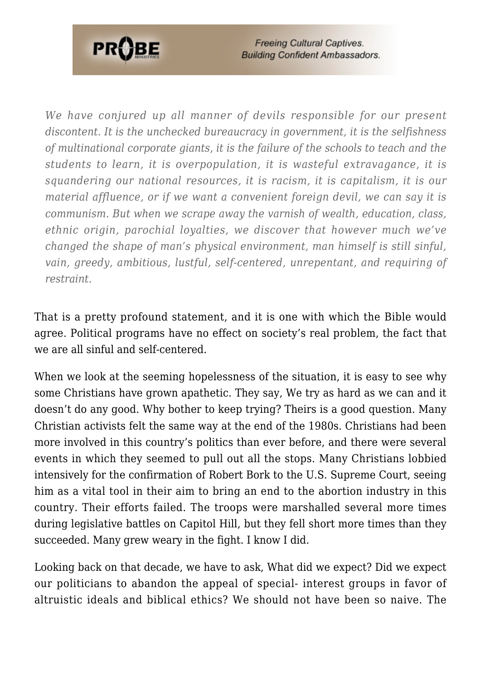

*We have conjured up all manner of devils responsible for our present discontent. It is the unchecked bureaucracy in government, it is the selfishness of multinational corporate giants, it is the failure of the schools to teach and the students to learn, it is overpopulation, it is wasteful extravagance, it is squandering our national resources, it is racism, it is capitalism, it is our material affluence, or if we want a convenient foreign devil, we can say it is communism. But when we scrape away the varnish of wealth, education, class, ethnic origin, parochial loyalties, we discover that however much we've changed the shape of man's physical environment, man himself is still sinful, vain, greedy, ambitious, lustful, self-centered, unrepentant, and requiring of restraint.*

That is a pretty profound statement, and it is one with which the Bible would agree. Political programs have no effect on society's real problem, the fact that we are all sinful and self-centered.

When we look at the seeming hopelessness of the situation, it is easy to see why some Christians have grown apathetic. They say, We try as hard as we can and it doesn't do any good. Why bother to keep trying? Theirs is a good question. Many Christian activists felt the same way at the end of the 1980s. Christians had been more involved in this country's politics than ever before, and there were several events in which they seemed to pull out all the stops. Many Christians lobbied intensively for the confirmation of Robert Bork to the U.S. Supreme Court, seeing him as a vital tool in their aim to bring an end to the abortion industry in this country. Their efforts failed. The troops were marshalled several more times during legislative battles on Capitol Hill, but they fell short more times than they succeeded. Many grew weary in the fight. I know I did.

Looking back on that decade, we have to ask, What did we expect? Did we expect our politicians to abandon the appeal of special- interest groups in favor of altruistic ideals and biblical ethics? We should not have been so naive. The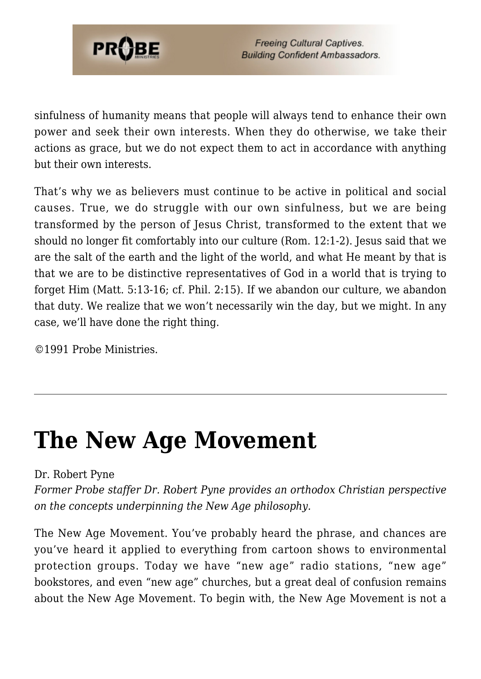

sinfulness of humanity means that people will always tend to enhance their own power and seek their own interests. When they do otherwise, we take their actions as grace, but we do not expect them to act in accordance with anything but their own interests.

That's why we as believers must continue to be active in political and social causes. True, we do struggle with our own sinfulness, but we are being transformed by the person of Jesus Christ, transformed to the extent that we should no longer fit comfortably into our culture (Rom. 12:1-2). Jesus said that we are the salt of the earth and the light of the world, and what He meant by that is that we are to be distinctive representatives of God in a world that is trying to forget Him (Matt. 5:13-16; cf. Phil. 2:15). If we abandon our culture, we abandon that duty. We realize that we won't necessarily win the day, but we might. In any case, we'll have done the right thing.

©1991 Probe Ministries.

## **[The New Age Movement](https://probe.org/the-new-age-movement/)**

#### Dr. Robert Pyne

*Former Probe staffer Dr. Robert Pyne provides an orthodox Christian perspective on the concepts underpinning the New Age philosophy.*

The New Age Movement. You've probably heard the phrase, and chances are you've heard it applied to everything from cartoon shows to environmental protection groups. Today we have "new age" radio stations, "new age" bookstores, and even "new age" churches, but a great deal of confusion remains about the New Age Movement. To begin with, the New Age Movement is not a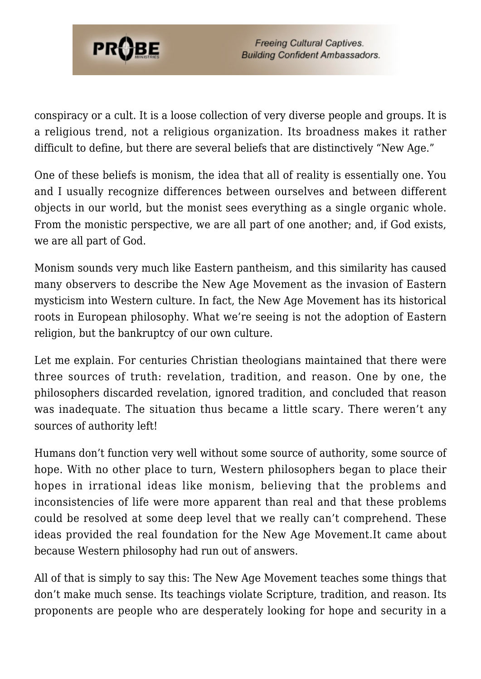

conspiracy or a cult. It is a loose collection of very diverse people and groups. It is a religious trend, not a religious organization. Its broadness makes it rather difficult to define, but there are several beliefs that are distinctively "New Age."

One of these beliefs is monism, the idea that all of reality is essentially one. You and I usually recognize differences between ourselves and between different objects in our world, but the monist sees everything as a single organic whole. From the monistic perspective, we are all part of one another; and, if God exists, we are all part of God.

Monism sounds very much like Eastern pantheism, and this similarity has caused many observers to describe the New Age Movement as the invasion of Eastern mysticism into Western culture. In fact, the New Age Movement has its historical roots in European philosophy. What we're seeing is not the adoption of Eastern religion, but the bankruptcy of our own culture.

Let me explain. For centuries Christian theologians maintained that there were three sources of truth: revelation, tradition, and reason. One by one, the philosophers discarded revelation, ignored tradition, and concluded that reason was inadequate. The situation thus became a little scary. There weren't any sources of authority left!

Humans don't function very well without some source of authority, some source of hope. With no other place to turn, Western philosophers began to place their hopes in irrational ideas like monism, believing that the problems and inconsistencies of life were more apparent than real and that these problems could be resolved at some deep level that we really can't comprehend. These ideas provided the real foundation for the New Age Movement.It came about because Western philosophy had run out of answers.

All of that is simply to say this: The New Age Movement teaches some things that don't make much sense. Its teachings violate Scripture, tradition, and reason. Its proponents are people who are desperately looking for hope and security in a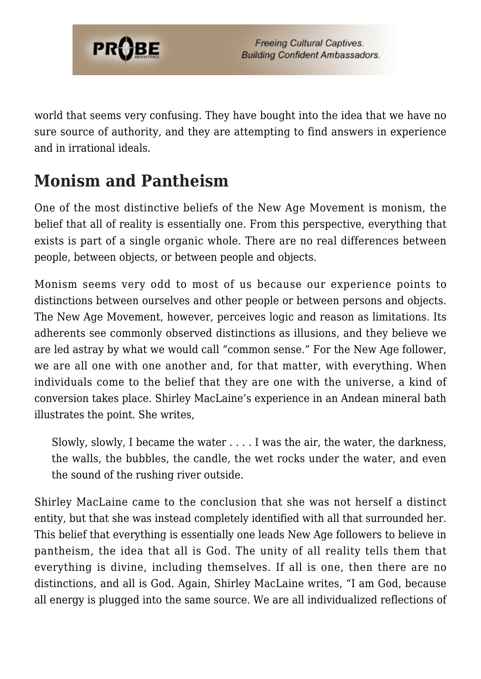

world that seems very confusing. They have bought into the idea that we have no sure source of authority, and they are attempting to find answers in experience and in irrational ideals.

### **Monism and Pantheism**

One of the most distinctive beliefs of the New Age Movement is monism, the belief that all of reality is essentially one. From this perspective, everything that exists is part of a single organic whole. There are no real differences between people, between objects, or between people and objects.

Monism seems very odd to most of us because our experience points to distinctions between ourselves and other people or between persons and objects. The New Age Movement, however, perceives logic and reason as limitations. Its adherents see commonly observed distinctions as illusions, and they believe we are led astray by what we would call "common sense." For the New Age follower, we are all one with one another and, for that matter, with everything. When individuals come to the belief that they are one with the universe, a kind of conversion takes place. Shirley MacLaine's experience in an Andean mineral bath illustrates the point. She writes,

Slowly, slowly, I became the water . . . . I was the air, the water, the darkness, the walls, the bubbles, the candle, the wet rocks under the water, and even the sound of the rushing river outside.

Shirley MacLaine came to the conclusion that she was not herself a distinct entity, but that she was instead completely identified with all that surrounded her. This belief that everything is essentially one leads New Age followers to believe in pantheism, the idea that all is God. The unity of all reality tells them that everything is divine, including themselves. If all is one, then there are no distinctions, and all is God. Again, Shirley MacLaine writes, "I am God, because all energy is plugged into the same source. We are all individualized reflections of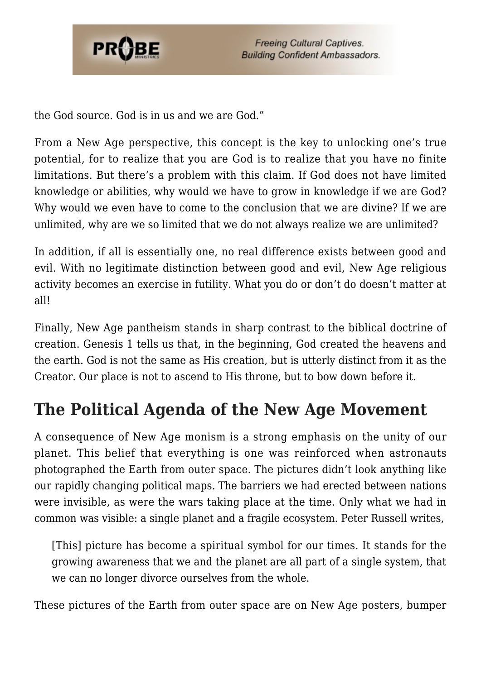

the God source. God is in us and we are God."

From a New Age perspective, this concept is the key to unlocking one's true potential, for to realize that you are God is to realize that you have no finite limitations. But there's a problem with this claim. If God does not have limited knowledge or abilities, why would we have to grow in knowledge if we are God? Why would we even have to come to the conclusion that we are divine? If we are unlimited, why are we so limited that we do not always realize we are unlimited?

In addition, if all is essentially one, no real difference exists between good and evil. With no legitimate distinction between good and evil, New Age religious activity becomes an exercise in futility. What you do or don't do doesn't matter at all!

Finally, New Age pantheism stands in sharp contrast to the biblical doctrine of creation. Genesis 1 tells us that, in the beginning, God created the heavens and the earth. God is not the same as His creation, but is utterly distinct from it as the Creator. Our place is not to ascend to His throne, but to bow down before it.

### **The Political Agenda of the New Age Movement**

A consequence of New Age monism is a strong emphasis on the unity of our planet. This belief that everything is one was reinforced when astronauts photographed the Earth from outer space. The pictures didn't look anything like our rapidly changing political maps. The barriers we had erected between nations were invisible, as were the wars taking place at the time. Only what we had in common was visible: a single planet and a fragile ecosystem. Peter Russell writes,

[This] picture has become a spiritual symbol for our times. It stands for the growing awareness that we and the planet are all part of a single system, that we can no longer divorce ourselves from the whole.

These pictures of the Earth from outer space are on New Age posters, bumper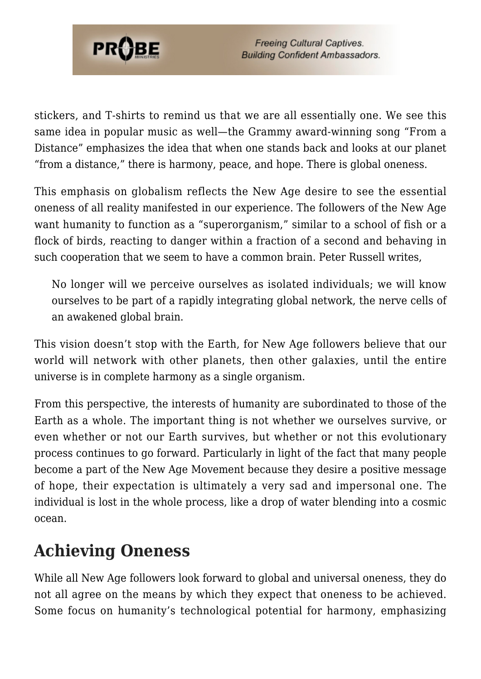

stickers, and T-shirts to remind us that we are all essentially one. We see this same idea in popular music as well—the Grammy award-winning song "From a Distance" emphasizes the idea that when one stands back and looks at our planet "from a distance," there is harmony, peace, and hope. There is global oneness.

This emphasis on globalism reflects the New Age desire to see the essential oneness of all reality manifested in our experience. The followers of the New Age want humanity to function as a "superorganism," similar to a school of fish or a flock of birds, reacting to danger within a fraction of a second and behaving in such cooperation that we seem to have a common brain. Peter Russell writes,

No longer will we perceive ourselves as isolated individuals; we will know ourselves to be part of a rapidly integrating global network, the nerve cells of an awakened global brain.

This vision doesn't stop with the Earth, for New Age followers believe that our world will network with other planets, then other galaxies, until the entire universe is in complete harmony as a single organism.

From this perspective, the interests of humanity are subordinated to those of the Earth as a whole. The important thing is not whether we ourselves survive, or even whether or not our Earth survives, but whether or not this evolutionary process continues to go forward. Particularly in light of the fact that many people become a part of the New Age Movement because they desire a positive message of hope, their expectation is ultimately a very sad and impersonal one. The individual is lost in the whole process, like a drop of water blending into a cosmic ocean.

### **Achieving Oneness**

While all New Age followers look forward to global and universal oneness, they do not all agree on the means by which they expect that oneness to be achieved. Some focus on humanity's technological potential for harmony, emphasizing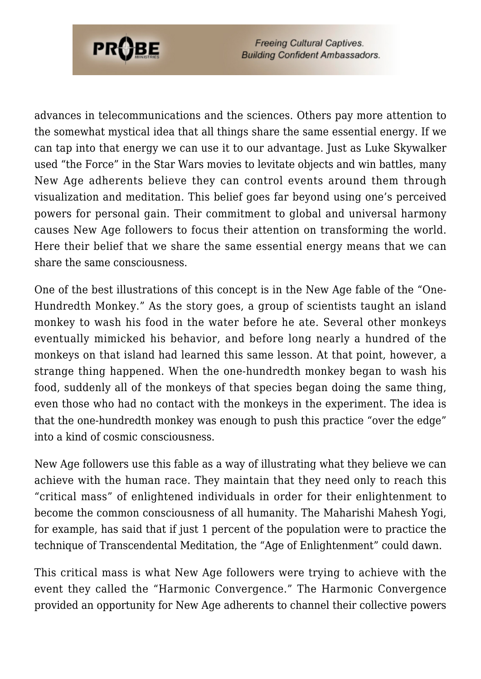

advances in telecommunications and the sciences. Others pay more attention to the somewhat mystical idea that all things share the same essential energy. If we can tap into that energy we can use it to our advantage. Just as Luke Skywalker used "the Force" in the Star Wars movies to levitate objects and win battles, many New Age adherents believe they can control events around them through visualization and meditation. This belief goes far beyond using one's perceived powers for personal gain. Their commitment to global and universal harmony causes New Age followers to focus their attention on transforming the world. Here their belief that we share the same essential energy means that we can share the same consciousness.

One of the best illustrations of this concept is in the New Age fable of the "One-Hundredth Monkey." As the story goes, a group of scientists taught an island monkey to wash his food in the water before he ate. Several other monkeys eventually mimicked his behavior, and before long nearly a hundred of the monkeys on that island had learned this same lesson. At that point, however, a strange thing happened. When the one-hundredth monkey began to wash his food, suddenly all of the monkeys of that species began doing the same thing, even those who had no contact with the monkeys in the experiment. The idea is that the one-hundredth monkey was enough to push this practice "over the edge" into a kind of cosmic consciousness.

New Age followers use this fable as a way of illustrating what they believe we can achieve with the human race. They maintain that they need only to reach this "critical mass" of enlightened individuals in order for their enlightenment to become the common consciousness of all humanity. The Maharishi Mahesh Yogi, for example, has said that if just 1 percent of the population were to practice the technique of Transcendental Meditation, the "Age of Enlightenment" could dawn.

This critical mass is what New Age followers were trying to achieve with the event they called the "Harmonic Convergence." The Harmonic Convergence provided an opportunity for New Age adherents to channel their collective powers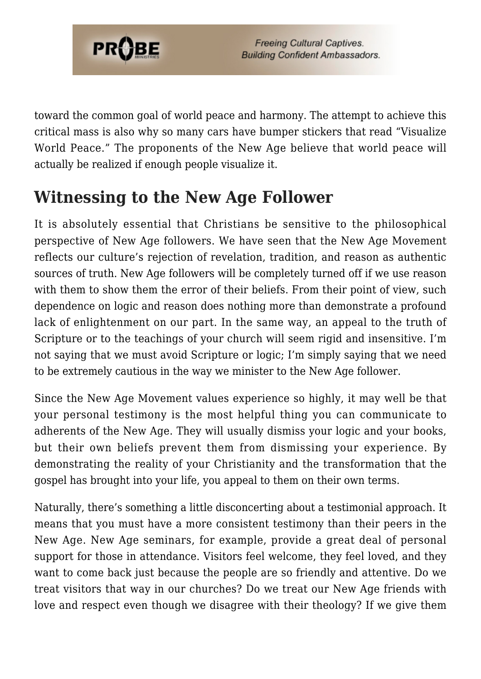

toward the common goal of world peace and harmony. The attempt to achieve this critical mass is also why so many cars have bumper stickers that read "Visualize World Peace." The proponents of the New Age believe that world peace will actually be realized if enough people visualize it.

### **Witnessing to the New Age Follower**

It is absolutely essential that Christians be sensitive to the philosophical perspective of New Age followers. We have seen that the New Age Movement reflects our culture's rejection of revelation, tradition, and reason as authentic sources of truth. New Age followers will be completely turned off if we use reason with them to show them the error of their beliefs. From their point of view, such dependence on logic and reason does nothing more than demonstrate a profound lack of enlightenment on our part. In the same way, an appeal to the truth of Scripture or to the teachings of your church will seem rigid and insensitive. I'm not saying that we must avoid Scripture or logic; I'm simply saying that we need to be extremely cautious in the way we minister to the New Age follower.

Since the New Age Movement values experience so highly, it may well be that your personal testimony is the most helpful thing you can communicate to adherents of the New Age. They will usually dismiss your logic and your books, but their own beliefs prevent them from dismissing your experience. By demonstrating the reality of your Christianity and the transformation that the gospel has brought into your life, you appeal to them on their own terms.

Naturally, there's something a little disconcerting about a testimonial approach. It means that you must have a more consistent testimony than their peers in the New Age. New Age seminars, for example, provide a great deal of personal support for those in attendance. Visitors feel welcome, they feel loved, and they want to come back just because the people are so friendly and attentive. Do we treat visitors that way in our churches? Do we treat our New Age friends with love and respect even though we disagree with their theology? If we give them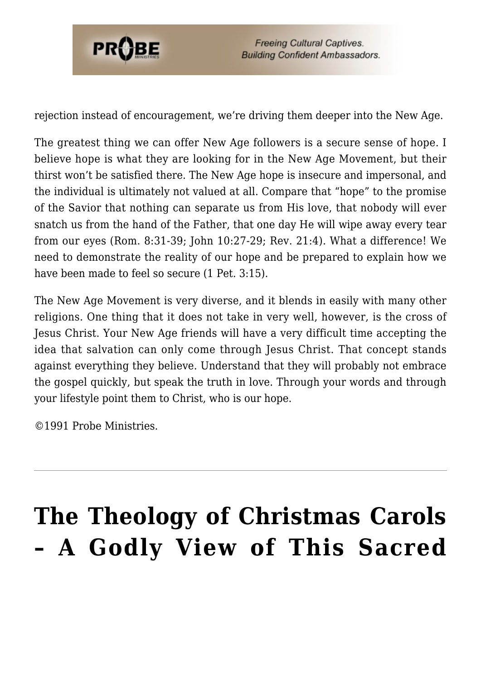

rejection instead of encouragement, we're driving them deeper into the New Age.

The greatest thing we can offer New Age followers is a secure sense of hope. I believe hope is what they are looking for in the New Age Movement, but their thirst won't be satisfied there. The New Age hope is insecure and impersonal, and the individual is ultimately not valued at all. Compare that "hope" to the promise of the Savior that nothing can separate us from His love, that nobody will ever snatch us from the hand of the Father, that one day He will wipe away every tear from our eyes (Rom. 8:31-39; John 10:27-29; Rev. 21:4). What a difference! We need to demonstrate the reality of our hope and be prepared to explain how we have been made to feel so secure (1 Pet. 3:15).

The New Age Movement is very diverse, and it blends in easily with many other religions. One thing that it does not take in very well, however, is the cross of Jesus Christ. Your New Age friends will have a very difficult time accepting the idea that salvation can only come through Jesus Christ. That concept stands against everything they believe. Understand that they will probably not embrace the gospel quickly, but speak the truth in love. Through your words and through your lifestyle point them to Christ, who is our hope.

©1991 Probe Ministries.

# **[The Theology of Christmas Carols](https://probe.org/the-theology-of-christmas-carols/) [– A Godly View of This Sacred](https://probe.org/the-theology-of-christmas-carols/)**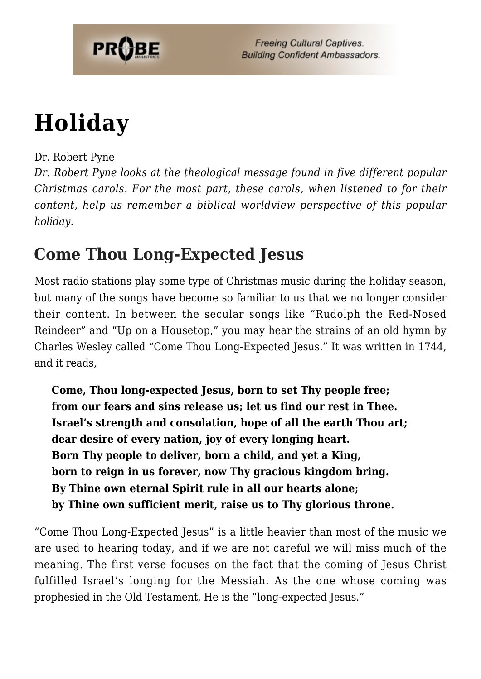

## **[Holiday](https://probe.org/the-theology-of-christmas-carols/)**

#### Dr. Robert Pyne

*Dr. Robert Pyne looks at the theological message found in five different popular Christmas carols. For the most part, these carols, when listened to for their content, help us remember a biblical worldview perspective of this popular holiday.*

### **Come Thou Long-Expected Jesus**

Most radio stations play some type of Christmas music during the holiday season, but many of the songs have become so familiar to us that we no longer consider their content. In between the secular songs like "Rudolph the Red-Nosed Reindeer" and "Up on a Housetop," you may hear the strains of an old hymn by Charles Wesley called "Come Thou Long-Expected Jesus." It was written in 1744, and it reads,

**Come, Thou long-expected Jesus, born to set Thy people free; from our fears and sins release us; let us find our rest in Thee. Israel's strength and consolation, hope of all the earth Thou art; dear desire of every nation, joy of every longing heart. Born Thy people to deliver, born a child, and yet a King, born to reign in us forever, now Thy gracious kingdom bring. By Thine own eternal Spirit rule in all our hearts alone; by Thine own sufficient merit, raise us to Thy glorious throne.**

"Come Thou Long-Expected Jesus" is a little heavier than most of the music we are used to hearing today, and if we are not careful we will miss much of the meaning. The first verse focuses on the fact that the coming of Jesus Christ fulfilled Israel's longing for the Messiah. As the one whose coming was prophesied in the Old Testament, He is the "long-expected Jesus."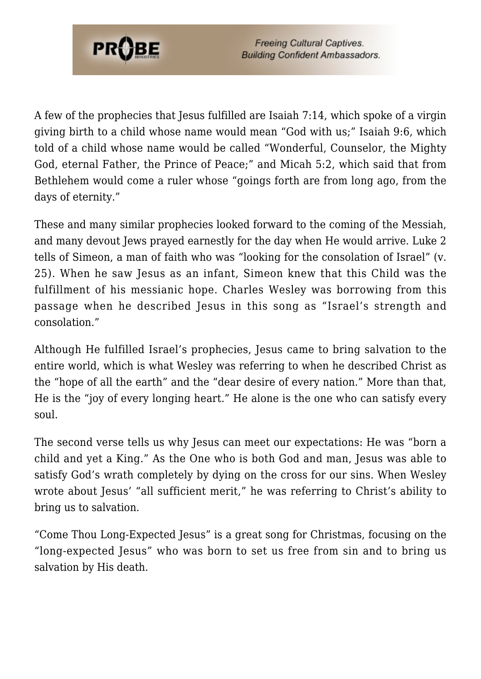

A few of the prophecies that Jesus fulfilled are Isaiah 7:14, which spoke of a virgin giving birth to a child whose name would mean "God with us;" Isaiah 9:6, which told of a child whose name would be called "Wonderful, Counselor, the Mighty God, eternal Father, the Prince of Peace;" and Micah 5:2, which said that from Bethlehem would come a ruler whose "goings forth are from long ago, from the days of eternity."

These and many similar prophecies looked forward to the coming of the Messiah, and many devout Jews prayed earnestly for the day when He would arrive. Luke 2 tells of Simeon, a man of faith who was "looking for the consolation of Israel" (v. 25). When he saw Jesus as an infant, Simeon knew that this Child was the fulfillment of his messianic hope. Charles Wesley was borrowing from this passage when he described Jesus in this song as "Israel's strength and consolation."

Although He fulfilled Israel's prophecies, Jesus came to bring salvation to the entire world, which is what Wesley was referring to when he described Christ as the "hope of all the earth" and the "dear desire of every nation." More than that, He is the "joy of every longing heart." He alone is the one who can satisfy every soul.

The second verse tells us why Jesus can meet our expectations: He was "born a child and yet a King." As the One who is both God and man, Jesus was able to satisfy God's wrath completely by dying on the cross for our sins. When Wesley wrote about Jesus' "all sufficient merit," he was referring to Christ's ability to bring us to salvation.

"Come Thou Long-Expected Jesus" is a great song for Christmas, focusing on the "long-expected Jesus" who was born to set us free from sin and to bring us salvation by His death.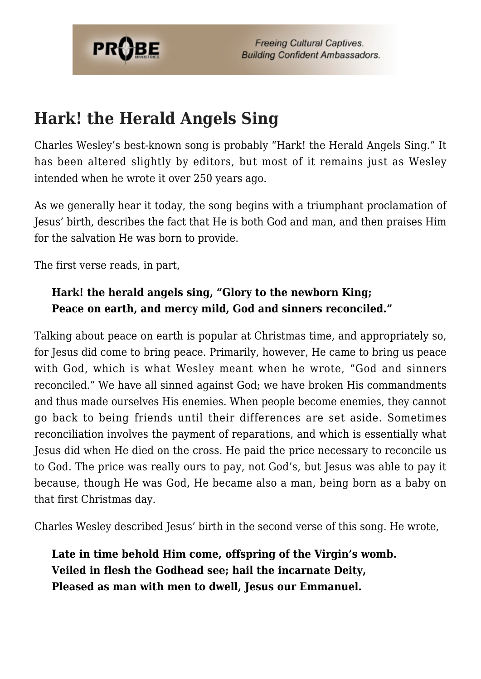

### **Hark! the Herald Angels Sing**

Charles Wesley's best-known song is probably "Hark! the Herald Angels Sing." It has been altered slightly by editors, but most of it remains just as Wesley intended when he wrote it over 250 years ago.

As we generally hear it today, the song begins with a triumphant proclamation of Jesus' birth, describes the fact that He is both God and man, and then praises Him for the salvation He was born to provide.

The first verse reads, in part,

#### **Hark! the herald angels sing, "Glory to the newborn King; Peace on earth, and mercy mild, God and sinners reconciled."**

Talking about peace on earth is popular at Christmas time, and appropriately so, for Jesus did come to bring peace. Primarily, however, He came to bring us peace with God, which is what Wesley meant when he wrote, "God and sinners reconciled." We have all sinned against God; we have broken His commandments and thus made ourselves His enemies. When people become enemies, they cannot go back to being friends until their differences are set aside. Sometimes reconciliation involves the payment of reparations, and which is essentially what Jesus did when He died on the cross. He paid the price necessary to reconcile us to God. The price was really ours to pay, not God's, but Jesus was able to pay it because, though He was God, He became also a man, being born as a baby on that first Christmas day.

Charles Wesley described Jesus' birth in the second verse of this song. He wrote,

**Late in time behold Him come, offspring of the Virgin's womb. Veiled in flesh the Godhead see; hail the incarnate Deity, Pleased as man with men to dwell, Jesus our Emmanuel.**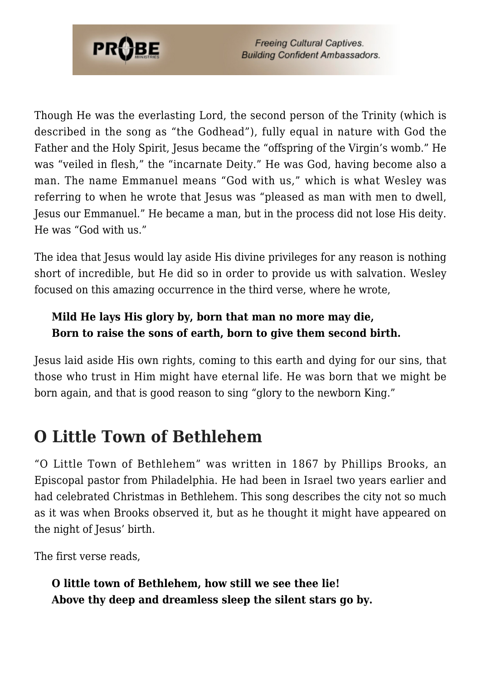

Though He was the everlasting Lord, the second person of the Trinity (which is described in the song as "the Godhead"), fully equal in nature with God the Father and the Holy Spirit, Jesus became the "offspring of the Virgin's womb." He was "veiled in flesh," the "incarnate Deity." He was God, having become also a man. The name Emmanuel means "God with us," which is what Wesley was referring to when he wrote that Jesus was "pleased as man with men to dwell, Jesus our Emmanuel." He became a man, but in the process did not lose His deity. He was "God with us."

The idea that Jesus would lay aside His divine privileges for any reason is nothing short of incredible, but He did so in order to provide us with salvation. Wesley focused on this amazing occurrence in the third verse, where he wrote,

#### **Mild He lays His glory by, born that man no more may die, Born to raise the sons of earth, born to give them second birth.**

Jesus laid aside His own rights, coming to this earth and dying for our sins, that those who trust in Him might have eternal life. He was born that we might be born again, and that is good reason to sing "glory to the newborn King."

### **O Little Town of Bethlehem**

"O Little Town of Bethlehem" was written in 1867 by Phillips Brooks, an Episcopal pastor from Philadelphia. He had been in Israel two years earlier and had celebrated Christmas in Bethlehem. This song describes the city not so much as it was when Brooks observed it, but as he thought it might have appeared on the night of Jesus' birth.

The first verse reads,

**O little town of Bethlehem, how still we see thee lie! Above thy deep and dreamless sleep the silent stars go by.**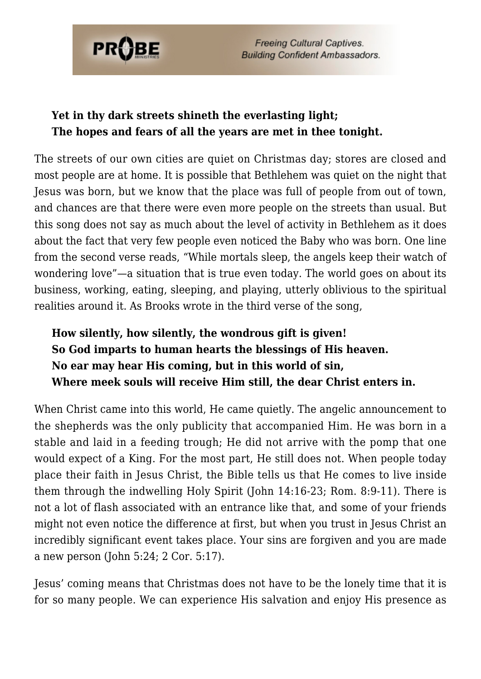

#### **Yet in thy dark streets shineth the everlasting light; The hopes and fears of all the years are met in thee tonight.**

The streets of our own cities are quiet on Christmas day; stores are closed and most people are at home. It is possible that Bethlehem was quiet on the night that Jesus was born, but we know that the place was full of people from out of town, and chances are that there were even more people on the streets than usual. But this song does not say as much about the level of activity in Bethlehem as it does about the fact that very few people even noticed the Baby who was born. One line from the second verse reads, "While mortals sleep, the angels keep their watch of wondering love"—a situation that is true even today. The world goes on about its business, working, eating, sleeping, and playing, utterly oblivious to the spiritual realities around it. As Brooks wrote in the third verse of the song,

#### **How silently, how silently, the wondrous gift is given! So God imparts to human hearts the blessings of His heaven. No ear may hear His coming, but in this world of sin, Where meek souls will receive Him still, the dear Christ enters in.**

When Christ came into this world, He came quietly. The angelic announcement to the shepherds was the only publicity that accompanied Him. He was born in a stable and laid in a feeding trough; He did not arrive with the pomp that one would expect of a King. For the most part, He still does not. When people today place their faith in Jesus Christ, the Bible tells us that He comes to live inside them through the indwelling Holy Spirit (John 14:16-23; Rom. 8:9-11). There is not a lot of flash associated with an entrance like that, and some of your friends might not even notice the difference at first, but when you trust in Jesus Christ an incredibly significant event takes place. Your sins are forgiven and you are made a new person (John 5:24; 2 Cor. 5:17).

Jesus' coming means that Christmas does not have to be the lonely time that it is for so many people. We can experience His salvation and enjoy His presence as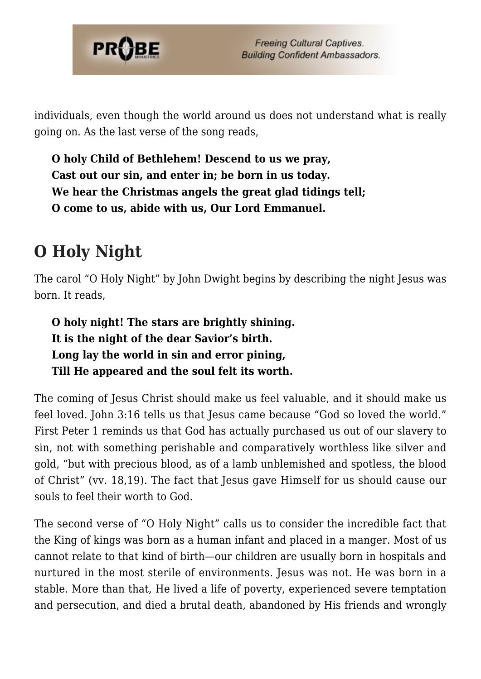

individuals, even though the world around us does not understand what is really going on. As the last verse of the song reads,

**O holy Child of Bethlehem! Descend to us we pray, Cast out our sin, and enter in; be born in us today. We hear the Christmas angels the great glad tidings tell; O come to us, abide with us, Our Lord Emmanuel.**

### **O Holy Night**

The carol "O Holy Night" by John Dwight begins by describing the night Jesus was born. It reads,

**O holy night! The stars are brightly shining. It is the night of the dear Savior's birth. Long lay the world in sin and error pining, Till He appeared and the soul felt its worth.**

The coming of Jesus Christ should make us feel valuable, and it should make us feel loved. John 3:16 tells us that Jesus came because "God so loved the world." First Peter 1 reminds us that God has actually purchased us out of our slavery to sin, not with something perishable and comparatively worthless like silver and gold, "but with precious blood, as of a lamb unblemished and spotless, the blood of Christ" (vv. 18,19). The fact that Jesus gave Himself for us should cause our souls to feel their worth to God.

The second verse of "O Holy Night" calls us to consider the incredible fact that the King of kings was born as a human infant and placed in a manger. Most of us cannot relate to that kind of birth—our children are usually born in hospitals and nurtured in the most sterile of environments. Jesus was not. He was born in a stable. More than that, He lived a life of poverty, experienced severe temptation and persecution, and died a brutal death, abandoned by His friends and wrongly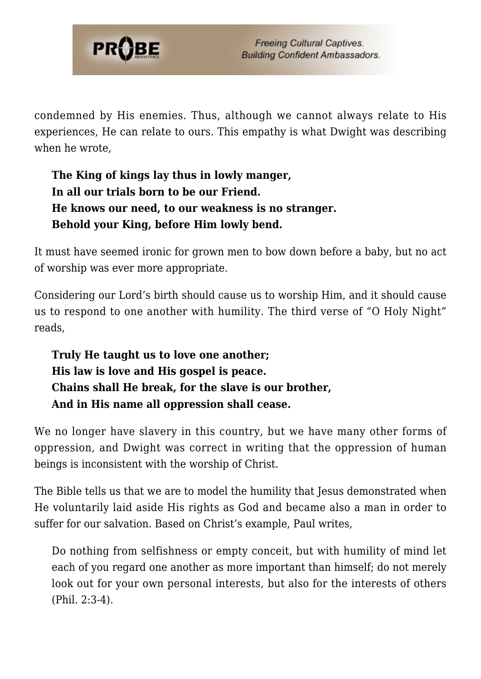

condemned by His enemies. Thus, although we cannot always relate to His experiences, He can relate to ours. This empathy is what Dwight was describing when he wrote

#### **The King of kings lay thus in lowly manger, In all our trials born to be our Friend. He knows our need, to our weakness is no stranger. Behold your King, before Him lowly bend.**

It must have seemed ironic for grown men to bow down before a baby, but no act of worship was ever more appropriate.

Considering our Lord's birth should cause us to worship Him, and it should cause us to respond to one another with humility. The third verse of "O Holy Night" reads,

#### **Truly He taught us to love one another; His law is love and His gospel is peace. Chains shall He break, for the slave is our brother, And in His name all oppression shall cease.**

We no longer have slavery in this country, but we have many other forms of oppression, and Dwight was correct in writing that the oppression of human beings is inconsistent with the worship of Christ.

The Bible tells us that we are to model the humility that Jesus demonstrated when He voluntarily laid aside His rights as God and became also a man in order to suffer for our salvation. Based on Christ's example, Paul writes,

Do nothing from selfishness or empty conceit, but with humility of mind let each of you regard one another as more important than himself; do not merely look out for your own personal interests, but also for the interests of others (Phil. 2:3-4).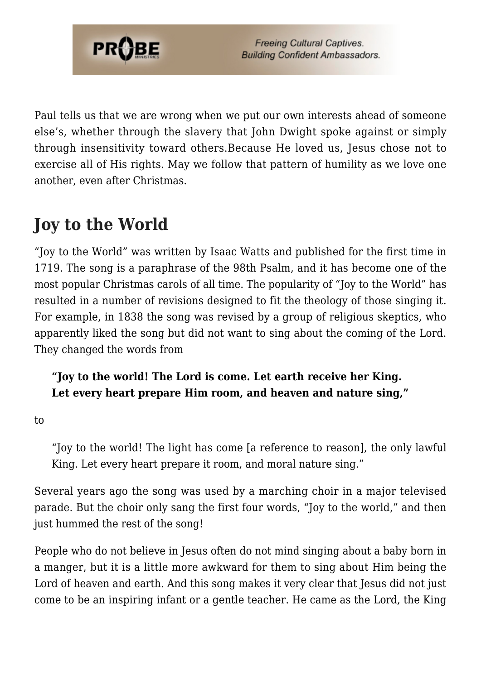

Paul tells us that we are wrong when we put our own interests ahead of someone else's, whether through the slavery that John Dwight spoke against or simply through insensitivity toward others.Because He loved us, Jesus chose not to exercise all of His rights. May we follow that pattern of humility as we love one another, even after Christmas.

### **Joy to the World**

"Joy to the World" was written by Isaac Watts and published for the first time in 1719. The song is a paraphrase of the 98th Psalm, and it has become one of the most popular Christmas carols of all time. The popularity of "Joy to the World" has resulted in a number of revisions designed to fit the theology of those singing it. For example, in 1838 the song was revised by a group of religious skeptics, who apparently liked the song but did not want to sing about the coming of the Lord. They changed the words from

#### **"Joy to the world! The Lord is come. Let earth receive her King. Let every heart prepare Him room, and heaven and nature sing,"**

to

"Joy to the world! The light has come [a reference to reason], the only lawful King. Let every heart prepare it room, and moral nature sing."

Several years ago the song was used by a marching choir in a major televised parade. But the choir only sang the first four words, "Joy to the world," and then just hummed the rest of the song!

People who do not believe in Jesus often do not mind singing about a baby born in a manger, but it is a little more awkward for them to sing about Him being the Lord of heaven and earth. And this song makes it very clear that Jesus did not just come to be an inspiring infant or a gentle teacher. He came as the Lord, the King